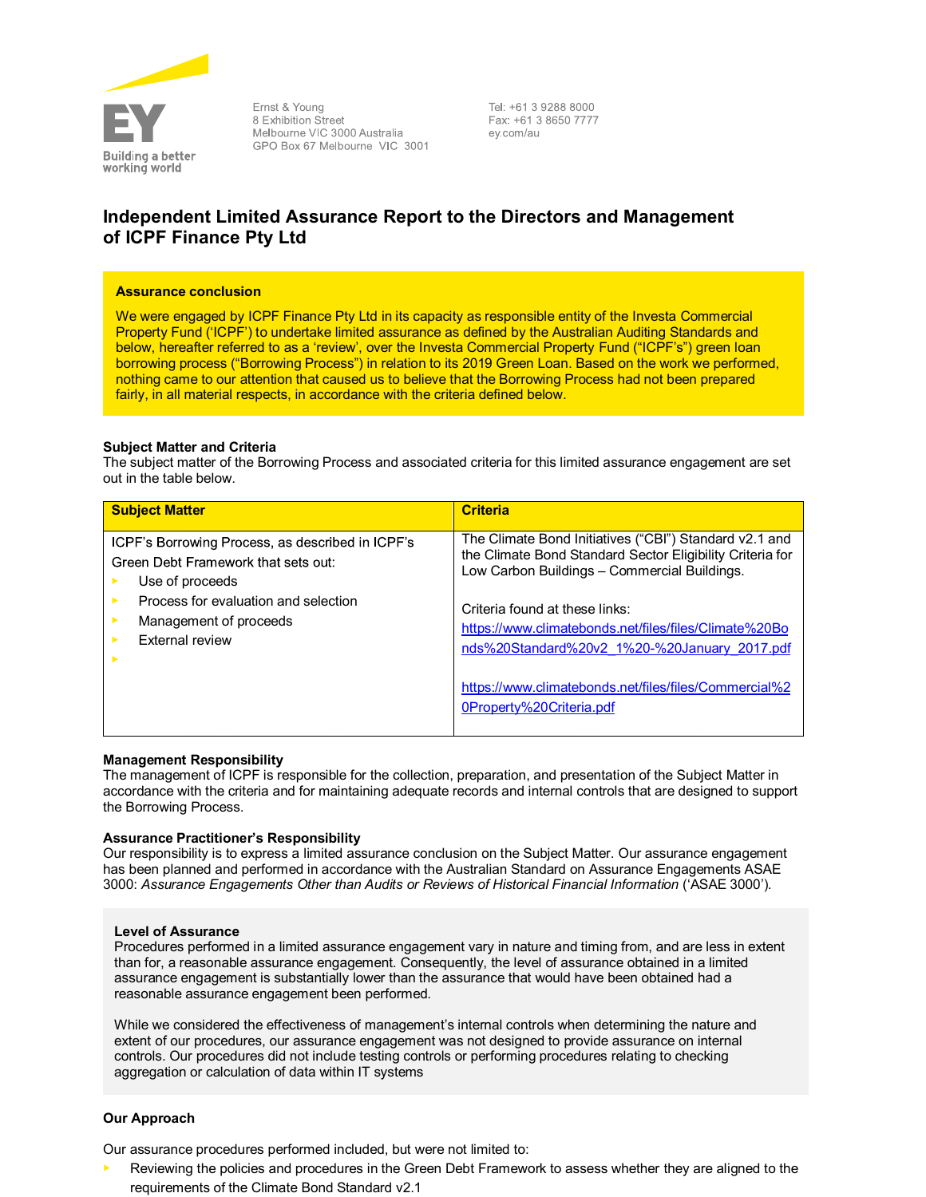

Ernst & Young 8 Exhibition Street Melbourne VIC 3000 Australia GPO Box 67 Melbourne VIC 3001 Tel: +61 3 9288 8000 Fax: +61 3 8650 7777 ev.com/au

# Independent Limited Assurance Report to the Directors and Management of ICPF Finance Pty Ltd

# Assurance conclusion

We were engaged by ICPF Finance Pty Ltd in its capacity as responsible entity of the Investa Commercial Property Fund ('ICPF') to undertake limited assurance as defined by the Australian Auditing Standards and below, hereafter referred to as a 'review', over the Investa Commercial Property Fund ("ICPF's") green loan borrowing process ("Borrowing Process") in relation to its 2019 Green Loan. Based on the work we performed, nothing came to our attention that caused us to believe that the Borrowing Process had not been prepared fairly, in all material respects, in accordance with the criteria defined below.

# Subject Matter and Criteria

The subject matter of the Borrowing Process and associated criteria for this limited assurance engagement are set out in the table below.

| <b>Subject Matter</b>                            | <b>Criteria</b>                                                                   |
|--------------------------------------------------|-----------------------------------------------------------------------------------|
| ICPF's Borrowing Process, as described in ICPF's | The Climate Bond Initiatives ("CBI") Standard v2.1 and                            |
| Green Debt Framework that sets out:              | the Climate Bond Standard Sector Eligibility Criteria for                         |
| Use of proceeds                                  | Low Carbon Buildings - Commercial Buildings.                                      |
| Process for evaluation and selection             | Criteria found at these links:                                                    |
| Management of proceeds                           | https://www.climatebonds.net/files/files/Climate%20Bo                             |
| External review                                  | nds%20Standard%20v2 1%20-%20January 2017.pdf                                      |
|                                                  | https://www.climatebonds.net/files/files/Commercial%2<br>0Property%20Criteria.pdf |

# Management Responsibility

The management of ICPF is responsible for the collection, preparation, and presentation of the Subject Matter in accordance with the criteria and for maintaining adequate records and internal controls that are designed to support the Borrowing Process.

# Assurance Practitioner's Responsibility

Our responsibility is to express a limited assurance conclusion on the Subject Matter. Our assurance engagement has been planned and performed in accordance with the Australian Standard on Assurance Engagements ASAE 3000: Assurance Engagements Other than Audits or Reviews of Historical Financial Information ('ASAE 3000').

# Level of Assurance

Procedures performed in a limited assurance engagement vary in nature and timing from, and are less in extent than for, a reasonable assurance engagement. Consequently, the level of assurance obtained in a limited assurance engagement is substantially lower than the assurance that would have been obtained had a reasonable assurance engagement been performed.

While we considered the effectiveness of management's internal controls when determining the nature and extent of our procedures, our assurance engagement was not designed to provide assurance on internal controls. Our procedures did not include testing controls or performing procedures relating to checking aggregation or calculation of data within IT systems

# Our Approach

Our assurance procedures performed included, but were not limited to:

Reviewing the policies and procedures in the Green Debt Framework to assess whether they are aligned to the requirements of the Climate Bond Standard v2.1